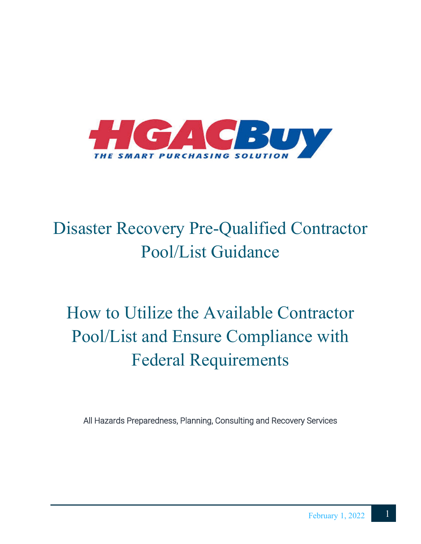

# Disaster Recovery Pre-Qualified Contractor Pool/List Guidance

# How to Utilize the Available Contractor Pool/List and Ensure Compliance with Federal Requirements

All Hazards Preparedness, Planning, Consulting and Recovery Services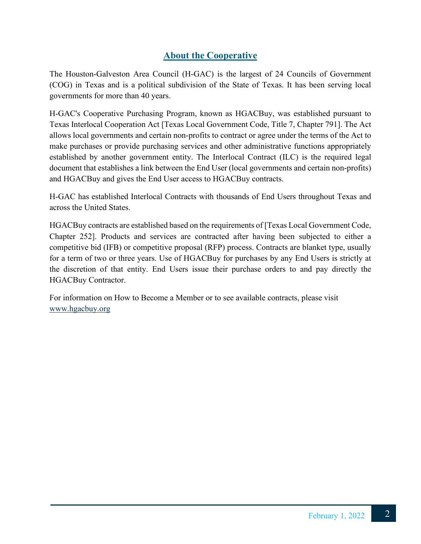## **About the Cooperative**

The Houston-Galveston Area Council (H-GAC) is the largest of 24 Councils of Government (COG) in Texas and is a political subdivision of the State of Texas. It has been serving local governments for more than 40 years.

H-GAC's Cooperative Purchasing Program, known as HGACBuy, was established pursuant to Texas Interlocal Cooperation Act [Texas Local Government Code, Title 7, Chapter 791]. The Act allows local governments and certain non-profits to contract or agree under the terms of the Act to make purchases or provide purchasing services and other administrative functions appropriately established by another government entity. The Interlocal Contract (ILC) is the required legal document that establishes a link between the End User (local governments and certain non-profits) and HGACBuy and gives the End User access to HGACBuy contracts.

H-GAC has established Interlocal Contracts with thousands of End Users throughout Texas and across the United States.

HGACBuy contracts are established based on the requirements of [Texas Local Government Code, Chapter 252]. Products and services are contracted after having been subjected to either a competitive bid (IFB) or competitive proposal (RFP) process. Contracts are blanket type, usually for a term of two or three years. Use of HGACBuy for purchases by any End Users is strictly at the discretion of that entity. End Users issue their purchase orders to and pay directly the HGACBuy Contractor.

For information on How to Become a Member or to see available contracts, please visit [www.hgacbuy.org](http://www.hgacbuy.org/)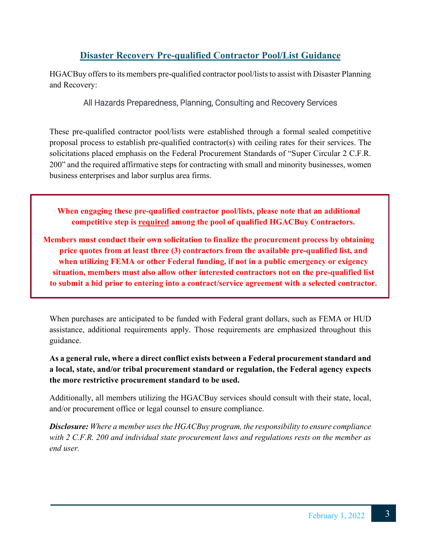## **Disaster Recovery Pre-qualified Contractor Pool/List Guidance**

HGACBuy offers to its members pre-qualified contractor pool/lists to assist with Disaster Planning and Recovery:

#### All Hazards Preparedness, Planning, Consulting and Recovery Services

These pre-qualified contractor pool/lists were established through a formal sealed competitive proposal process to establish pre-qualified contractor(s) with ceiling rates for their services. The solicitations placed emphasis on the Federal Procurement Standards of "Super Circular 2 C.F.R. 200" and the required affirmative steps for contracting with small and minority businesses, women business enterprises and labor surplus area firms.

**When engaging these pre-qualified contractor pool/lists, please note that an additional competitive step is required among the pool of qualified HGACBuy Contractors.** 

**Members must conduct their own solicitation to finalize the procurement process by obtaining price quotes from at least three (3) contractors from the available pre-qualified list, and when utilizing FEMA or other Federal funding, if not in a public emergency or exigency situation, members must also allow other interested contractors not on the pre-qualified list to submit a bid prior to entering into a contract/service agreement with a selected contractor.**

When purchases are anticipated to be funded with Federal grant dollars, such as FEMA or HUD assistance, additional requirements apply. Those requirements are emphasized throughout this guidance.

#### **As a general rule, where a direct conflict exists between a Federal procurement standard and a local, state, and/or tribal procurement standard or regulation, the Federal agency expects the more restrictive procurement standard to be used.**

Additionally, all members utilizing the HGACBuy services should consult with their state, local, and/or procurement office or legal counsel to ensure compliance.

*Disclosure: Where a member uses the HGACBuy program, the responsibility to ensure compliance with 2 C.F.R. 200 and individual state procurement laws and regulations rests on the member as end user.*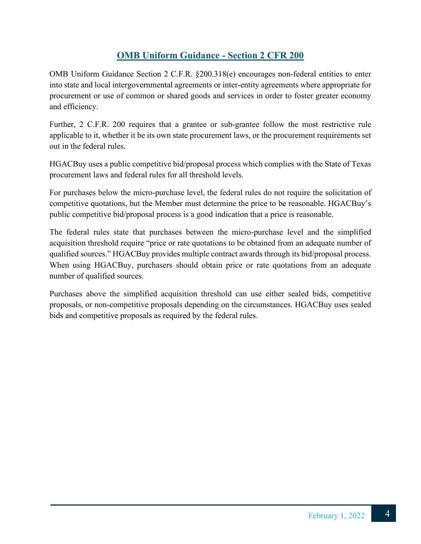## **OMB Uniform Guidance - Section 2 CFR 200**

OMB Uniform Guidance Section 2 C.F.R. §200.318(e) encourages non-federal entities to enter into state and local intergovernmental agreements or inter-entity agreements where appropriate for procurement or use of common or shared goods and services in order to foster greater economy and efficiency.

Further, 2 C.F.R. 200 requires that a grantee or sub-grantee follow the most restrictive rule applicable to it, whether it be its own state procurement laws, or the procurement requirements set out in the federal rules.

HGACBuy uses a public competitive bid/proposal process which complies with the State of Texas procurement laws and federal rules for all threshold levels.

For purchases below the micro-purchase level, the federal rules do not require the solicitation of competitive quotations, but the Member must determine the price to be reasonable. HGACBuy's public competitive bid/proposal process is a good indication that a price is reasonable.

The federal rules state that purchases between the micro-purchase level and the simplified acquisition threshold require "price or rate quotations to be obtained from an adequate number of qualified sources." HGACBuy provides multiple contract awards through its bid/proposal process. When using HGACBuy, purchasers should obtain price or rate quotations from an adequate number of qualified sources.

Purchases above the simplified acquisition threshold can use either sealed bids, competitive proposals, or non-competitive proposals depending on the circumstances. HGACBuy uses sealed bids and competitive proposals as required by the federal rules.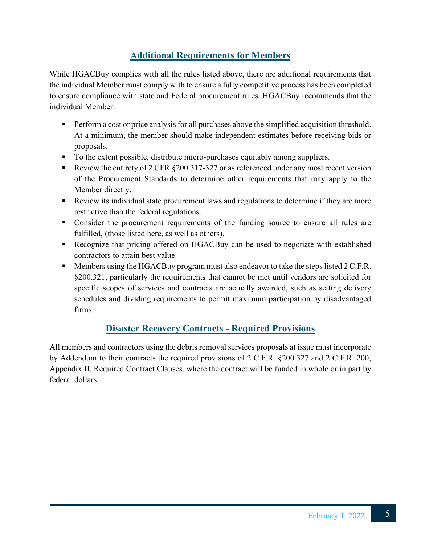## **Additional Requirements for Members**

While HGACBuy complies with all the rules listed above, there are additional requirements that the individual Member must comply with to ensure a fully competitive process has been completed to ensure compliance with state and Federal procurement rules. HGACBuy recommends that the individual Member:

- **Perform a cost or price analysis for all purchases above the simplified acquisition threshold.** At a minimum, the member should make independent estimates before receiving bids or proposals.
- To the extent possible, distribute micro-purchases equitably among suppliers.
- Review the entirety of 2 CFR  $\S 200.317 327$  or as referenced under any most recent version of the Procurement Standards to determine other requirements that may apply to the Member directly.
- Review its individual state procurement laws and regulations to determine if they are more restrictive than the federal regulations.
- Consider the procurement requirements of the funding source to ensure all rules are fulfilled, (those listed here, as well as others).
- Recognize that pricing offered on HGACBuy can be used to negotiate with established contractors to attain best value.
- **Members using the HGACBuy program must also endeavor to take the steps listed 2 C.F.R.** §200.321, particularly the requirements that cannot be met until vendors are solicited for specific scopes of services and contracts are actually awarded, such as setting delivery schedules and dividing requirements to permit maximum participation by disadvantaged firms.

## **Disaster Recovery Contracts - Required Provisions**

All members and contractors using the debris removal services proposals at issue must incorporate by Addendum to their contracts the required provisions of 2 C.F.R. §200.327 and 2 C.F.R. 200, Appendix II, Required Contract Clauses, where the contract will be funded in whole or in part by federal dollars.